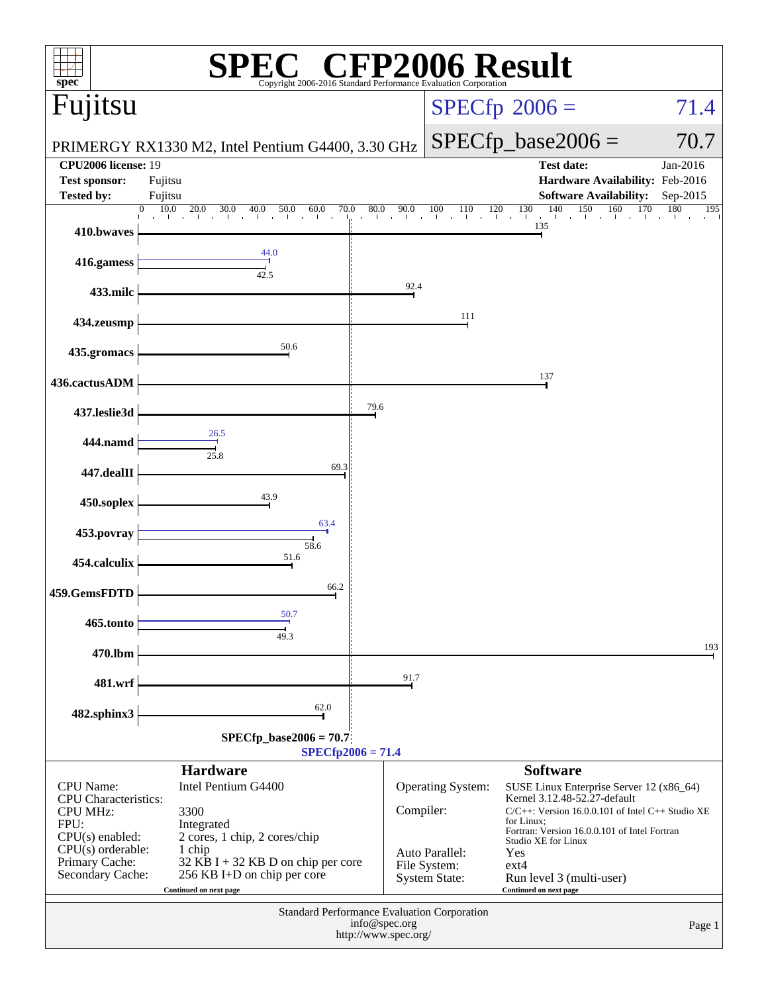| spec®                                          | Copyright 2006-2016 Standard Performance Evaluation Corporation | H)                                                                                   |                                   | <b>P2006 Result</b>                                                                   |                   |
|------------------------------------------------|-----------------------------------------------------------------|--------------------------------------------------------------------------------------|-----------------------------------|---------------------------------------------------------------------------------------|-------------------|
| Fujitsu                                        |                                                                 |                                                                                      |                                   | $SPECfp^{\circledast}2006 =$                                                          | 71.4              |
|                                                | PRIMERGY RX1330 M2, Intel Pentium G4400, 3.30 GHz               |                                                                                      |                                   | $SPECfp\_base2006 =$                                                                  | 70.7              |
| <b>CPU2006</b> license: 19                     |                                                                 |                                                                                      |                                   | <b>Test date:</b>                                                                     | Jan-2016          |
| <b>Test sponsor:</b>                           | Fujitsu                                                         |                                                                                      |                                   | Hardware Availability: Feb-2016                                                       |                   |
| <b>Tested by:</b>                              | Fujitsu                                                         |                                                                                      |                                   | <b>Software Availability:</b>                                                         | Sep-2015          |
| 410.bwaves                                     | 10.0<br>20.0<br>70.0<br>0<br>30.0<br>40.0<br>50.0<br>60.0       | 80.0<br>90.0<br>$\sim$<br>$\blacksquare$                                             | 100<br>120<br>110<br>$\mathbf{1}$ | 140<br>150<br>130<br>160<br>and the collis<br>$\mathbf{L}$<br>135                     | 170<br>180<br>195 |
| 416.gamess                                     | 44.0<br>42.5                                                    |                                                                                      |                                   |                                                                                       |                   |
| 433.milc                                       |                                                                 | 92.4                                                                                 |                                   |                                                                                       |                   |
| 434.zeusmp                                     |                                                                 |                                                                                      | 111                               |                                                                                       |                   |
| 435.gromacs                                    | 50.6                                                            |                                                                                      |                                   |                                                                                       |                   |
| 436.cactusADM                                  |                                                                 |                                                                                      |                                   | 137                                                                                   |                   |
| 437.leslie3d                                   |                                                                 | 79.6                                                                                 |                                   |                                                                                       |                   |
| 444.namd                                       | 26.5<br>25.8                                                    |                                                                                      |                                   |                                                                                       |                   |
| 447.dealII                                     | 69.3                                                            |                                                                                      |                                   |                                                                                       |                   |
| 450.soplex                                     | 43.9<br>63.4                                                    |                                                                                      |                                   |                                                                                       |                   |
| 453.povray                                     | 58.6<br>51.6                                                    |                                                                                      |                                   |                                                                                       |                   |
| 454.calculix                                   |                                                                 |                                                                                      |                                   |                                                                                       |                   |
| 459.GemsFDTD                                   | 66.2                                                            |                                                                                      |                                   |                                                                                       |                   |
| 465.tonto                                      | 50.7<br>49.3                                                    |                                                                                      |                                   |                                                                                       |                   |
| 470.lbm                                        |                                                                 |                                                                                      |                                   |                                                                                       | 193               |
| 481.wrf                                        |                                                                 | 91.7                                                                                 |                                   |                                                                                       |                   |
| 482.sphinx3                                    | 62.0                                                            |                                                                                      |                                   |                                                                                       |                   |
|                                                | $SPECfp\_base2006 = 70.7$                                       | $SPECfp2006 = 71.4$                                                                  |                                   |                                                                                       |                   |
|                                                | <b>Hardware</b>                                                 |                                                                                      |                                   | <b>Software</b>                                                                       |                   |
| <b>CPU</b> Name:                               | Intel Pentium G4400                                             |                                                                                      | Operating System:                 | SUSE Linux Enterprise Server 12 (x86_64)                                              |                   |
| <b>CPU</b> Characteristics:<br><b>CPU MHz:</b> | 3300                                                            | Compiler:                                                                            |                                   | Kernel 3.12.48-52.27-default<br>$C/C++$ : Version 16.0.0.101 of Intel $C++$ Studio XE |                   |
| FPU:                                           | Integrated                                                      |                                                                                      |                                   | for Linux:<br>Fortran: Version 16.0.0.101 of Intel Fortran                            |                   |
| $CPU(s)$ enabled:<br>$CPU(s)$ orderable:       | 2 cores, 1 chip, 2 cores/chip<br>1 chip                         |                                                                                      |                                   | Studio XE for Linux                                                                   |                   |
| Primary Cache:                                 | 32 KB I + 32 KB D on chip per core                              |                                                                                      | Auto Parallel:<br>File System:    | Yes<br>$ext{4}$                                                                       |                   |
| Secondary Cache:                               | 256 KB I+D on chip per core<br>Continued on next page           |                                                                                      | <b>System State:</b>              | Run level 3 (multi-user)<br>Continued on next page                                    |                   |
|                                                |                                                                 |                                                                                      |                                   |                                                                                       |                   |
|                                                |                                                                 | Standard Performance Evaluation Corporation<br>info@spec.org<br>http://www.spec.org/ |                                   |                                                                                       | Page 1            |
|                                                |                                                                 |                                                                                      |                                   |                                                                                       |                   |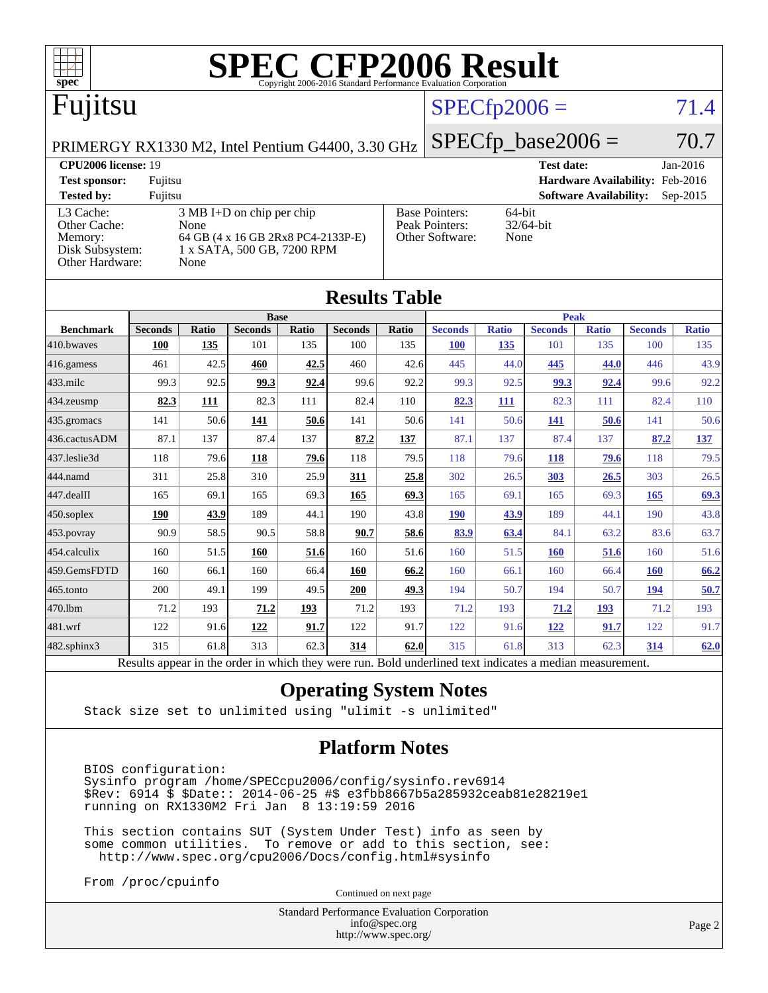

|                                                                                                          | <b>Base</b><br><b>Peak</b> |              |                |       |                |              |                |              |                |              |                |              |
|----------------------------------------------------------------------------------------------------------|----------------------------|--------------|----------------|-------|----------------|--------------|----------------|--------------|----------------|--------------|----------------|--------------|
| <b>Benchmark</b>                                                                                         | <b>Seconds</b>             | <b>Ratio</b> | <b>Seconds</b> | Ratio | <b>Seconds</b> | <b>Ratio</b> | <b>Seconds</b> | <b>Ratio</b> | <b>Seconds</b> | <b>Ratio</b> | <b>Seconds</b> | <b>Ratio</b> |
| 410.bwayes                                                                                               | <b>100</b>                 | 135          | 101            | 135   | 100            | 135          | <b>100</b>     | 135          | 101            | 135          | 100            | 135          |
| 416.gamess                                                                                               | 461                        | 42.5         | 460            | 42.5  | 460            | 42.6         | 445            | 44.0         | 445            | 44.0         | 446            | 43.9         |
| $433$ .milc                                                                                              | 99.3                       | 92.5         | 99.3           | 92.4  | 99.6           | 92.2         | 99.3           | 92.5         | 99.3           | 92.4         | 99.6           | 92.2         |
| 434.zeusmp                                                                                               | 82.3                       | 111          | 82.3           | 111   | 82.4           | 110          | 82.3           | 111          | 82.3           | 111          | 82.4           | 110          |
| 435.gromacs                                                                                              | 141                        | 50.6         | 141            | 50.6  | 141            | 50.6         | 141            | 50.6         | 141            | 50.6         | 141            | 50.6         |
| 436.cactusADM                                                                                            | 87.1                       | 137          | 87.4           | 137   | 87.2           | 137          | 87.1           | 137          | 87.4           | 137          | 87.2           | <u>137</u>   |
| 437.leslie3d                                                                                             | 118                        | 79.6         | 118            | 79.6  | 118            | 79.5         | 118            | 79.6         | <b>118</b>     | 79.6         | 118            | 79.5         |
| 444.namd                                                                                                 | 311                        | 25.8         | 310            | 25.9  | 311            | 25.8         | 302            | 26.5         | 303            | 26.5         | 303            | 26.5         |
| 447.dealII                                                                                               | 165                        | 69.1         | 165            | 69.3  | 165            | 69.3         | 165            | 69.1         | 165            | 69.3         | 165            | 69.3         |
| $450$ .soplex                                                                                            | 190                        | 43.9         | 189            | 44.1  | 190            | 43.8         | 190            | 43.9         | 189            | 44.1         | 190            | 43.8         |
| $453$ .povray                                                                                            | 90.9                       | 58.5         | 90.5           | 58.8  | 90.7           | 58.6         | 83.9           | 63.4         | 84.1           | 63.2         | 83.6           | 63.7         |
| 454.calculix                                                                                             | 160                        | 51.5         | 160            | 51.6  | 160            | 51.6         | 160            | 51.5         | <b>160</b>     | 51.6         | 160            | 51.6         |
| 459.GemsFDTD                                                                                             | 160                        | 66.1         | 160            | 66.4  | <b>160</b>     | 66.2         | 160            | 66.1         | 160            | 66.4         | 160            | 66.2         |
| 465.tonto                                                                                                | 200                        | 49.1         | 199            | 49.5  | 200            | 49.3         | 194            | 50.7         | 194            | 50.7         | 194            | 50.7         |
| 470.1bm                                                                                                  | 71.2                       | 193          | 71.2           | 193   | 71.2           | 193          | 71.2           | 193          | 71.2           | <b>193</b>   | 71.2           | 193          |
| 481.wrf                                                                                                  | 122                        | 91.6         | <u>122</u>     | 91.7  | 122            | 91.7         | 122            | 91.6         | 122            | 91.7         | 122            | 91.7         |
| 482.sphinx3                                                                                              | 315                        | 61.8         | 313            | 62.3  | 314            | 62.0         | 315            | 61.8         | 313            | 62.3         | 314            | 62.0         |
| Results appear in the order in which they were run. Bold underlined text indicates a median measurement. |                            |              |                |       |                |              |                |              |                |              |                |              |

#### **[Operating System Notes](http://www.spec.org/auto/cpu2006/Docs/result-fields.html#OperatingSystemNotes)**

Stack size set to unlimited using "ulimit -s unlimited"

### **[Platform Notes](http://www.spec.org/auto/cpu2006/Docs/result-fields.html#PlatformNotes)**

 BIOS configuration: Sysinfo program /home/SPECcpu2006/config/sysinfo.rev6914 \$Rev: 6914 \$ \$Date:: 2014-06-25 #\$ e3fbb8667b5a285932ceab81e28219e1 running on RX1330M2 Fri Jan 8 13:19:59 2016

 This section contains SUT (System Under Test) info as seen by some common utilities. To remove or add to this section, see: <http://www.spec.org/cpu2006/Docs/config.html#sysinfo>

From /proc/cpuinfo

Continued on next page

Standard Performance Evaluation Corporation [info@spec.org](mailto:info@spec.org) <http://www.spec.org/>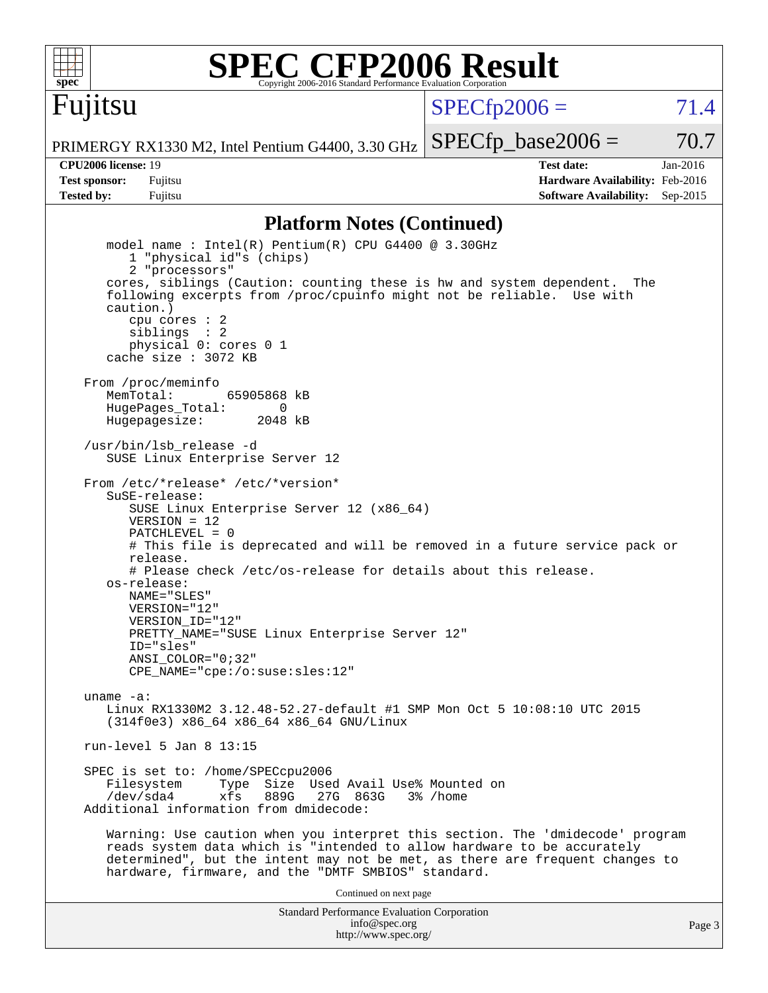

Fujitsu

# **[SPEC CFP2006 Result](http://www.spec.org/auto/cpu2006/Docs/result-fields.html#SPECCFP2006Result)**

 $SPECTp2006 = 71.4$ 

PRIMERGY RX1330 M2, Intel Pentium G4400, 3.30 GHz

 $SPECTp\_base2006 = 70.7$ 

**[CPU2006 license:](http://www.spec.org/auto/cpu2006/Docs/result-fields.html#CPU2006license)** 19 **[Test date:](http://www.spec.org/auto/cpu2006/Docs/result-fields.html#Testdate)** Jan-2016 **[Test sponsor:](http://www.spec.org/auto/cpu2006/Docs/result-fields.html#Testsponsor)** Fujitsu **[Hardware Availability:](http://www.spec.org/auto/cpu2006/Docs/result-fields.html#HardwareAvailability)** Feb-2016 **[Tested by:](http://www.spec.org/auto/cpu2006/Docs/result-fields.html#Testedby)** Fujitsu **Fugital Example 2015 [Software Availability:](http://www.spec.org/auto/cpu2006/Docs/result-fields.html#SoftwareAvailability)** Sep-2015

#### **[Platform Notes \(Continued\)](http://www.spec.org/auto/cpu2006/Docs/result-fields.html#PlatformNotes)**

Standard Performance Evaluation Corporation model name : Intel(R) Pentium(R) CPU G4400 @ 3.30GHz 1 "physical id"s (chips) 2 "processors" cores, siblings (Caution: counting these is hw and system dependent. The following excerpts from /proc/cpuinfo might not be reliable. Use with caution.) cpu cores : 2 siblings : 2 physical 0: cores 0 1 cache size : 3072 KB From /proc/meminfo MemTotal: 65905868 kB HugePages\_Total: 0<br>Hugepagesize: 2048 kB Hugepagesize: /usr/bin/lsb\_release -d SUSE Linux Enterprise Server 12 From /etc/\*release\* /etc/\*version\* SuSE-release: SUSE Linux Enterprise Server 12 (x86\_64)  $VFRSTON = 12$  PATCHLEVEL = 0 # This file is deprecated and will be removed in a future service pack or release. # Please check /etc/os-release for details about this release. os-release: NAME="SLES" VERSION="12" VERSION\_ID="12" PRETTY\_NAME="SUSE Linux Enterprise Server 12" ID="sles" ANSI\_COLOR="0;32" CPE\_NAME="cpe:/o:suse:sles:12" uname -a: Linux RX1330M2 3.12.48-52.27-default #1 SMP Mon Oct 5 10:08:10 UTC 2015 (314f0e3) x86\_64 x86\_64 x86\_64 GNU/Linux run-level 5 Jan 8 13:15 SPEC is set to: /home/SPECcpu2006<br>Filesystem Type Size Use Type Size Used Avail Use% Mounted on /dev/sda4 xfs 889G 27G 863G 3% /home Additional information from dmidecode: Warning: Use caution when you interpret this section. The 'dmidecode' program reads system data which is "intended to allow hardware to be accurately determined", but the intent may not be met, as there are frequent changes to hardware, firmware, and the "DMTF SMBIOS" standard. Continued on next page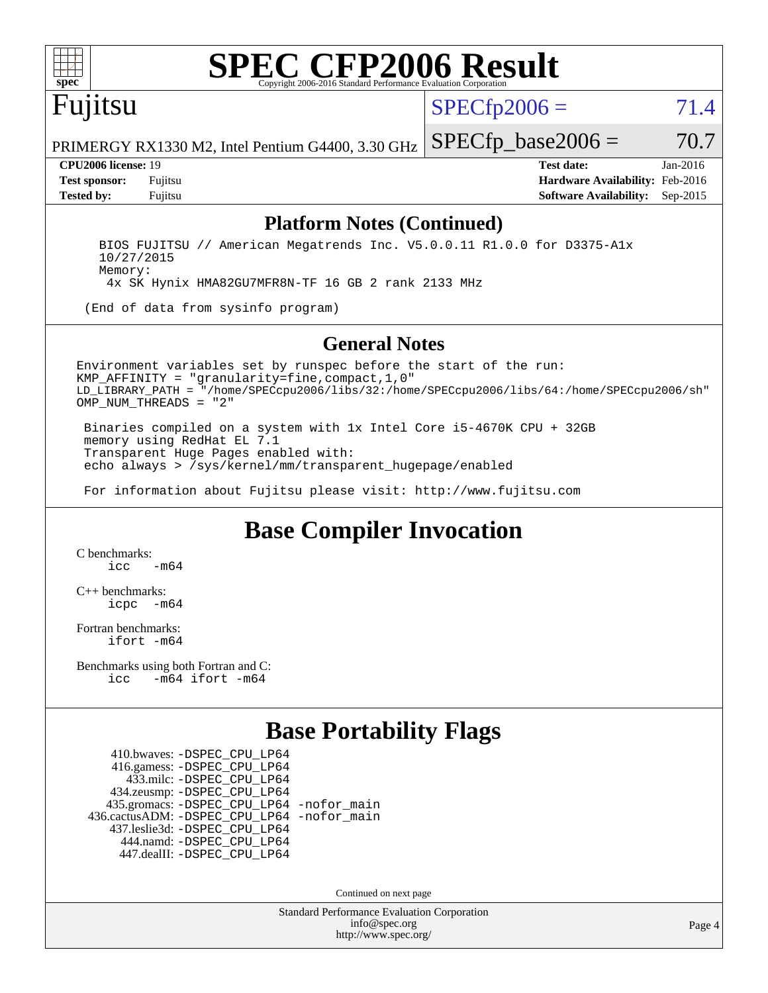

# **[SPEC CFP2006 Result](http://www.spec.org/auto/cpu2006/Docs/result-fields.html#SPECCFP2006Result)**

Fujitsu

 $SPECTp2006 = 71.4$ 

 $SPECTp\_base2006 = 70.7$ 

PRIMERGY RX1330 M2, Intel Pentium G4400, 3.30 GHz

**[CPU2006 license:](http://www.spec.org/auto/cpu2006/Docs/result-fields.html#CPU2006license)** 19 **[Test date:](http://www.spec.org/auto/cpu2006/Docs/result-fields.html#Testdate)** Jan-2016 **[Test sponsor:](http://www.spec.org/auto/cpu2006/Docs/result-fields.html#Testsponsor)** Fujitsu **[Hardware Availability:](http://www.spec.org/auto/cpu2006/Docs/result-fields.html#HardwareAvailability)** Feb-2016 **[Tested by:](http://www.spec.org/auto/cpu2006/Docs/result-fields.html#Testedby)** Fujitsu **[Software Availability:](http://www.spec.org/auto/cpu2006/Docs/result-fields.html#SoftwareAvailability)** Sep-2015

### **[Platform Notes \(Continued\)](http://www.spec.org/auto/cpu2006/Docs/result-fields.html#PlatformNotes)**

 BIOS FUJITSU // American Megatrends Inc. V5.0.0.11 R1.0.0 for D3375-A1x 10/27/2015 Memory:

4x SK Hynix HMA82GU7MFR8N-TF 16 GB 2 rank 2133 MHz

(End of data from sysinfo program)

#### **[General Notes](http://www.spec.org/auto/cpu2006/Docs/result-fields.html#GeneralNotes)**

Environment variables set by runspec before the start of the run: KMP\_AFFINITY = "granularity=fine,compact,1,0" LD\_LIBRARY\_PATH = "/home/SPECcpu2006/libs/32:/home/SPECcpu2006/libs/64:/home/SPECcpu2006/sh" OMP NUM THREADS = "2"

 Binaries compiled on a system with 1x Intel Core i5-4670K CPU + 32GB memory using RedHat EL 7.1 Transparent Huge Pages enabled with: echo always > /sys/kernel/mm/transparent\_hugepage/enabled

For information about Fujitsu please visit: <http://www.fujitsu.com>

## **[Base Compiler Invocation](http://www.spec.org/auto/cpu2006/Docs/result-fields.html#BaseCompilerInvocation)**

[C benchmarks](http://www.spec.org/auto/cpu2006/Docs/result-fields.html#Cbenchmarks):  $\frac{1}{2}$ cc  $-\text{m64}$ 

[C++ benchmarks:](http://www.spec.org/auto/cpu2006/Docs/result-fields.html#CXXbenchmarks) [icpc -m64](http://www.spec.org/cpu2006/results/res2016q1/cpu2006-20160111-38669.flags.html#user_CXXbase_intel_icpc_64bit_bedb90c1146cab66620883ef4f41a67e)

[Fortran benchmarks](http://www.spec.org/auto/cpu2006/Docs/result-fields.html#Fortranbenchmarks): [ifort -m64](http://www.spec.org/cpu2006/results/res2016q1/cpu2006-20160111-38669.flags.html#user_FCbase_intel_ifort_64bit_ee9d0fb25645d0210d97eb0527dcc06e)

[Benchmarks using both Fortran and C](http://www.spec.org/auto/cpu2006/Docs/result-fields.html#BenchmarksusingbothFortranandC): [icc -m64](http://www.spec.org/cpu2006/results/res2016q1/cpu2006-20160111-38669.flags.html#user_CC_FCbase_intel_icc_64bit_0b7121f5ab7cfabee23d88897260401c) [ifort -m64](http://www.spec.org/cpu2006/results/res2016q1/cpu2006-20160111-38669.flags.html#user_CC_FCbase_intel_ifort_64bit_ee9d0fb25645d0210d97eb0527dcc06e)

## **[Base Portability Flags](http://www.spec.org/auto/cpu2006/Docs/result-fields.html#BasePortabilityFlags)**

 410.bwaves: [-DSPEC\\_CPU\\_LP64](http://www.spec.org/cpu2006/results/res2016q1/cpu2006-20160111-38669.flags.html#suite_basePORTABILITY410_bwaves_DSPEC_CPU_LP64) 416.gamess: [-DSPEC\\_CPU\\_LP64](http://www.spec.org/cpu2006/results/res2016q1/cpu2006-20160111-38669.flags.html#suite_basePORTABILITY416_gamess_DSPEC_CPU_LP64) 433.milc: [-DSPEC\\_CPU\\_LP64](http://www.spec.org/cpu2006/results/res2016q1/cpu2006-20160111-38669.flags.html#suite_basePORTABILITY433_milc_DSPEC_CPU_LP64) 434.zeusmp: [-DSPEC\\_CPU\\_LP64](http://www.spec.org/cpu2006/results/res2016q1/cpu2006-20160111-38669.flags.html#suite_basePORTABILITY434_zeusmp_DSPEC_CPU_LP64) 435.gromacs: [-DSPEC\\_CPU\\_LP64](http://www.spec.org/cpu2006/results/res2016q1/cpu2006-20160111-38669.flags.html#suite_basePORTABILITY435_gromacs_DSPEC_CPU_LP64) [-nofor\\_main](http://www.spec.org/cpu2006/results/res2016q1/cpu2006-20160111-38669.flags.html#user_baseLDPORTABILITY435_gromacs_f-nofor_main) 436.cactusADM: [-DSPEC\\_CPU\\_LP64](http://www.spec.org/cpu2006/results/res2016q1/cpu2006-20160111-38669.flags.html#suite_basePORTABILITY436_cactusADM_DSPEC_CPU_LP64) [-nofor\\_main](http://www.spec.org/cpu2006/results/res2016q1/cpu2006-20160111-38669.flags.html#user_baseLDPORTABILITY436_cactusADM_f-nofor_main) 437.leslie3d: [-DSPEC\\_CPU\\_LP64](http://www.spec.org/cpu2006/results/res2016q1/cpu2006-20160111-38669.flags.html#suite_basePORTABILITY437_leslie3d_DSPEC_CPU_LP64) 444.namd: [-DSPEC\\_CPU\\_LP64](http://www.spec.org/cpu2006/results/res2016q1/cpu2006-20160111-38669.flags.html#suite_basePORTABILITY444_namd_DSPEC_CPU_LP64) 447.dealII: [-DSPEC\\_CPU\\_LP64](http://www.spec.org/cpu2006/results/res2016q1/cpu2006-20160111-38669.flags.html#suite_basePORTABILITY447_dealII_DSPEC_CPU_LP64)

Continued on next page

Standard Performance Evaluation Corporation [info@spec.org](mailto:info@spec.org) <http://www.spec.org/>

Page 4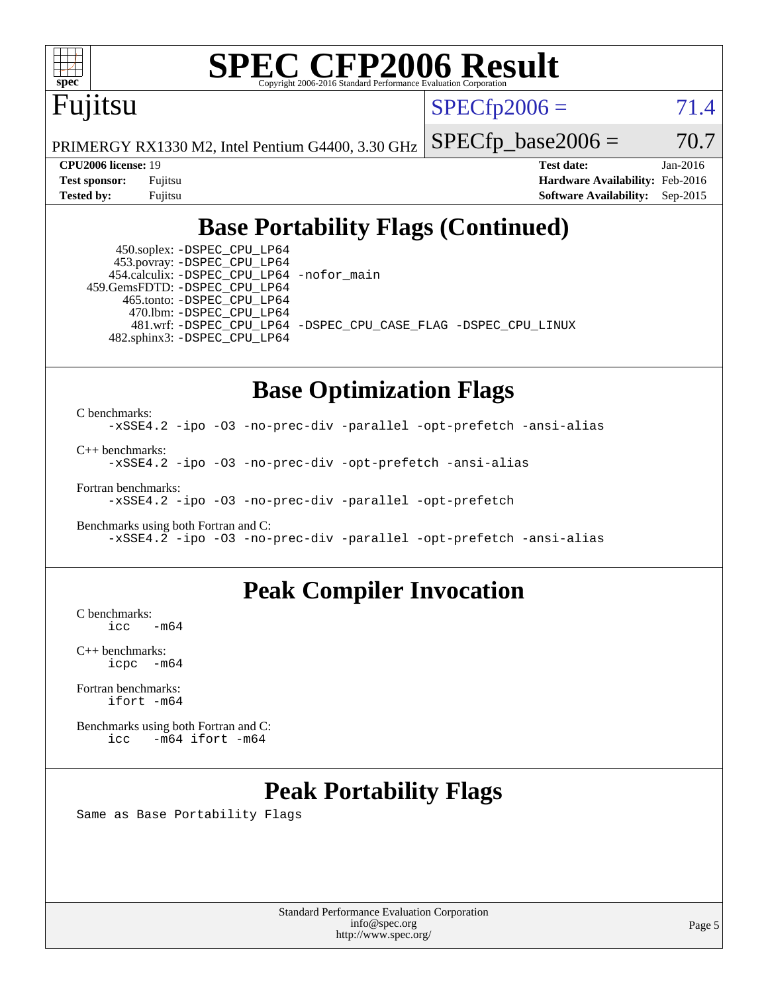

# **[SPEC CFP2006 Result](http://www.spec.org/auto/cpu2006/Docs/result-fields.html#SPECCFP2006Result)**

Fujitsu

 $SPECTp2006 = 71.4$ 

PRIMERGY RX1330 M2, Intel Pentium G4400, 3.30 GHz

 $SPECTp\_base2006 = 70.7$ 

**[CPU2006 license:](http://www.spec.org/auto/cpu2006/Docs/result-fields.html#CPU2006license)** 19 **[Test date:](http://www.spec.org/auto/cpu2006/Docs/result-fields.html#Testdate)** Jan-2016 **[Test sponsor:](http://www.spec.org/auto/cpu2006/Docs/result-fields.html#Testsponsor)** Fujitsu **[Hardware Availability:](http://www.spec.org/auto/cpu2006/Docs/result-fields.html#HardwareAvailability)** Feb-2016 **[Tested by:](http://www.spec.org/auto/cpu2006/Docs/result-fields.html#Testedby)** Fujitsu **[Software Availability:](http://www.spec.org/auto/cpu2006/Docs/result-fields.html#SoftwareAvailability)** Sep-2015

## **[Base Portability Flags \(Continued\)](http://www.spec.org/auto/cpu2006/Docs/result-fields.html#BasePortabilityFlags)**

 450.soplex: [-DSPEC\\_CPU\\_LP64](http://www.spec.org/cpu2006/results/res2016q1/cpu2006-20160111-38669.flags.html#suite_basePORTABILITY450_soplex_DSPEC_CPU_LP64) 453.povray: [-DSPEC\\_CPU\\_LP64](http://www.spec.org/cpu2006/results/res2016q1/cpu2006-20160111-38669.flags.html#suite_basePORTABILITY453_povray_DSPEC_CPU_LP64) 454.calculix: [-DSPEC\\_CPU\\_LP64](http://www.spec.org/cpu2006/results/res2016q1/cpu2006-20160111-38669.flags.html#suite_basePORTABILITY454_calculix_DSPEC_CPU_LP64) [-nofor\\_main](http://www.spec.org/cpu2006/results/res2016q1/cpu2006-20160111-38669.flags.html#user_baseLDPORTABILITY454_calculix_f-nofor_main) 459.GemsFDTD: [-DSPEC\\_CPU\\_LP64](http://www.spec.org/cpu2006/results/res2016q1/cpu2006-20160111-38669.flags.html#suite_basePORTABILITY459_GemsFDTD_DSPEC_CPU_LP64) 465.tonto: [-DSPEC\\_CPU\\_LP64](http://www.spec.org/cpu2006/results/res2016q1/cpu2006-20160111-38669.flags.html#suite_basePORTABILITY465_tonto_DSPEC_CPU_LP64) 470.lbm: [-DSPEC\\_CPU\\_LP64](http://www.spec.org/cpu2006/results/res2016q1/cpu2006-20160111-38669.flags.html#suite_basePORTABILITY470_lbm_DSPEC_CPU_LP64) 482.sphinx3: [-DSPEC\\_CPU\\_LP64](http://www.spec.org/cpu2006/results/res2016q1/cpu2006-20160111-38669.flags.html#suite_basePORTABILITY482_sphinx3_DSPEC_CPU_LP64)

481.wrf: [-DSPEC\\_CPU\\_LP64](http://www.spec.org/cpu2006/results/res2016q1/cpu2006-20160111-38669.flags.html#suite_basePORTABILITY481_wrf_DSPEC_CPU_LP64) [-DSPEC\\_CPU\\_CASE\\_FLAG](http://www.spec.org/cpu2006/results/res2016q1/cpu2006-20160111-38669.flags.html#b481.wrf_baseCPORTABILITY_DSPEC_CPU_CASE_FLAG) [-DSPEC\\_CPU\\_LINUX](http://www.spec.org/cpu2006/results/res2016q1/cpu2006-20160111-38669.flags.html#b481.wrf_baseCPORTABILITY_DSPEC_CPU_LINUX)

## **[Base Optimization Flags](http://www.spec.org/auto/cpu2006/Docs/result-fields.html#BaseOptimizationFlags)**

[C benchmarks](http://www.spec.org/auto/cpu2006/Docs/result-fields.html#Cbenchmarks): [-xSSE4.2](http://www.spec.org/cpu2006/results/res2016q1/cpu2006-20160111-38669.flags.html#user_CCbase_f-xSSE42_f91528193cf0b216347adb8b939d4107) [-ipo](http://www.spec.org/cpu2006/results/res2016q1/cpu2006-20160111-38669.flags.html#user_CCbase_f-ipo) [-O3](http://www.spec.org/cpu2006/results/res2016q1/cpu2006-20160111-38669.flags.html#user_CCbase_f-O3) [-no-prec-div](http://www.spec.org/cpu2006/results/res2016q1/cpu2006-20160111-38669.flags.html#user_CCbase_f-no-prec-div) [-parallel](http://www.spec.org/cpu2006/results/res2016q1/cpu2006-20160111-38669.flags.html#user_CCbase_f-parallel) [-opt-prefetch](http://www.spec.org/cpu2006/results/res2016q1/cpu2006-20160111-38669.flags.html#user_CCbase_f-opt-prefetch) [-ansi-alias](http://www.spec.org/cpu2006/results/res2016q1/cpu2006-20160111-38669.flags.html#user_CCbase_f-ansi-alias) [C++ benchmarks:](http://www.spec.org/auto/cpu2006/Docs/result-fields.html#CXXbenchmarks) [-xSSE4.2](http://www.spec.org/cpu2006/results/res2016q1/cpu2006-20160111-38669.flags.html#user_CXXbase_f-xSSE42_f91528193cf0b216347adb8b939d4107) [-ipo](http://www.spec.org/cpu2006/results/res2016q1/cpu2006-20160111-38669.flags.html#user_CXXbase_f-ipo) [-O3](http://www.spec.org/cpu2006/results/res2016q1/cpu2006-20160111-38669.flags.html#user_CXXbase_f-O3) [-no-prec-div](http://www.spec.org/cpu2006/results/res2016q1/cpu2006-20160111-38669.flags.html#user_CXXbase_f-no-prec-div) [-opt-prefetch](http://www.spec.org/cpu2006/results/res2016q1/cpu2006-20160111-38669.flags.html#user_CXXbase_f-opt-prefetch) [-ansi-alias](http://www.spec.org/cpu2006/results/res2016q1/cpu2006-20160111-38669.flags.html#user_CXXbase_f-ansi-alias) [Fortran benchmarks](http://www.spec.org/auto/cpu2006/Docs/result-fields.html#Fortranbenchmarks): [-xSSE4.2](http://www.spec.org/cpu2006/results/res2016q1/cpu2006-20160111-38669.flags.html#user_FCbase_f-xSSE42_f91528193cf0b216347adb8b939d4107) [-ipo](http://www.spec.org/cpu2006/results/res2016q1/cpu2006-20160111-38669.flags.html#user_FCbase_f-ipo) [-O3](http://www.spec.org/cpu2006/results/res2016q1/cpu2006-20160111-38669.flags.html#user_FCbase_f-O3) [-no-prec-div](http://www.spec.org/cpu2006/results/res2016q1/cpu2006-20160111-38669.flags.html#user_FCbase_f-no-prec-div) [-parallel](http://www.spec.org/cpu2006/results/res2016q1/cpu2006-20160111-38669.flags.html#user_FCbase_f-parallel) [-opt-prefetch](http://www.spec.org/cpu2006/results/res2016q1/cpu2006-20160111-38669.flags.html#user_FCbase_f-opt-prefetch)

[Benchmarks using both Fortran and C](http://www.spec.org/auto/cpu2006/Docs/result-fields.html#BenchmarksusingbothFortranandC): [-xSSE4.2](http://www.spec.org/cpu2006/results/res2016q1/cpu2006-20160111-38669.flags.html#user_CC_FCbase_f-xSSE42_f91528193cf0b216347adb8b939d4107) [-ipo](http://www.spec.org/cpu2006/results/res2016q1/cpu2006-20160111-38669.flags.html#user_CC_FCbase_f-ipo) [-O3](http://www.spec.org/cpu2006/results/res2016q1/cpu2006-20160111-38669.flags.html#user_CC_FCbase_f-O3) [-no-prec-div](http://www.spec.org/cpu2006/results/res2016q1/cpu2006-20160111-38669.flags.html#user_CC_FCbase_f-no-prec-div) [-parallel](http://www.spec.org/cpu2006/results/res2016q1/cpu2006-20160111-38669.flags.html#user_CC_FCbase_f-parallel) [-opt-prefetch](http://www.spec.org/cpu2006/results/res2016q1/cpu2006-20160111-38669.flags.html#user_CC_FCbase_f-opt-prefetch) [-ansi-alias](http://www.spec.org/cpu2006/results/res2016q1/cpu2006-20160111-38669.flags.html#user_CC_FCbase_f-ansi-alias)

## **[Peak Compiler Invocation](http://www.spec.org/auto/cpu2006/Docs/result-fields.html#PeakCompilerInvocation)**

 $C$  benchmarks:<br>icc  $-m64$ 

[C++ benchmarks:](http://www.spec.org/auto/cpu2006/Docs/result-fields.html#CXXbenchmarks) [icpc -m64](http://www.spec.org/cpu2006/results/res2016q1/cpu2006-20160111-38669.flags.html#user_CXXpeak_intel_icpc_64bit_bedb90c1146cab66620883ef4f41a67e)

[Fortran benchmarks](http://www.spec.org/auto/cpu2006/Docs/result-fields.html#Fortranbenchmarks): [ifort -m64](http://www.spec.org/cpu2006/results/res2016q1/cpu2006-20160111-38669.flags.html#user_FCpeak_intel_ifort_64bit_ee9d0fb25645d0210d97eb0527dcc06e)

[Benchmarks using both Fortran and C](http://www.spec.org/auto/cpu2006/Docs/result-fields.html#BenchmarksusingbothFortranandC): [icc -m64](http://www.spec.org/cpu2006/results/res2016q1/cpu2006-20160111-38669.flags.html#user_CC_FCpeak_intel_icc_64bit_0b7121f5ab7cfabee23d88897260401c) [ifort -m64](http://www.spec.org/cpu2006/results/res2016q1/cpu2006-20160111-38669.flags.html#user_CC_FCpeak_intel_ifort_64bit_ee9d0fb25645d0210d97eb0527dcc06e)

## **[Peak Portability Flags](http://www.spec.org/auto/cpu2006/Docs/result-fields.html#PeakPortabilityFlags)**

Same as Base Portability Flags

Standard Performance Evaluation Corporation [info@spec.org](mailto:info@spec.org) <http://www.spec.org/>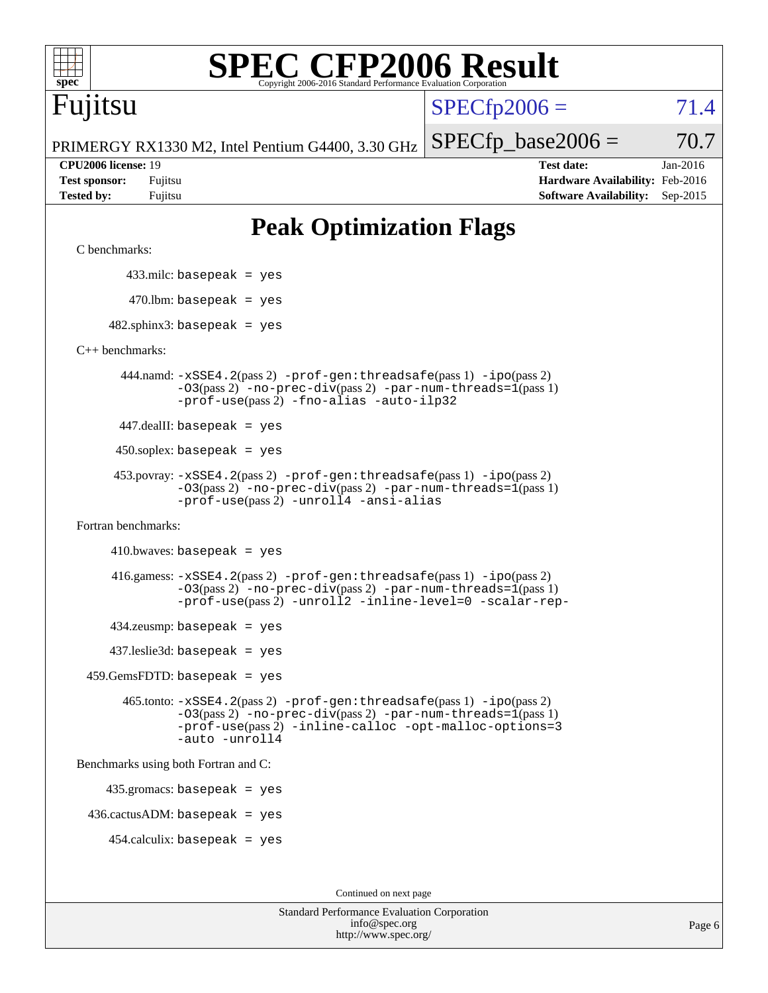| spec                                                                    | <b>C CFP2006 Result</b><br>Copyright 2006-2016 Standard Performance Evaluation Corporation                                                                                                                                   |                      |                                                                                       |                        |
|-------------------------------------------------------------------------|------------------------------------------------------------------------------------------------------------------------------------------------------------------------------------------------------------------------------|----------------------|---------------------------------------------------------------------------------------|------------------------|
| Fuµtsu                                                                  |                                                                                                                                                                                                                              | $SPECfp2006 =$       |                                                                                       | 71.4                   |
|                                                                         | PRIMERGY RX1330 M2, Intel Pentium G4400, 3.30 GHz                                                                                                                                                                            | $SPECfp\_base2006 =$ |                                                                                       | 70.7                   |
| <b>CPU2006</b> license: 19<br><b>Test sponsor:</b><br><b>Tested by:</b> | Fujitsu<br>Fujitsu                                                                                                                                                                                                           |                      | <b>Test date:</b><br>Hardware Availability: Feb-2016<br><b>Software Availability:</b> | Jan-2016<br>$Sep-2015$ |
|                                                                         | <b>Peak Optimization Flags</b>                                                                                                                                                                                               |                      |                                                                                       |                        |
| C benchmarks:                                                           |                                                                                                                                                                                                                              |                      |                                                                                       |                        |
|                                                                         | $433$ .milc: basepeak = yes                                                                                                                                                                                                  |                      |                                                                                       |                        |
|                                                                         | $470$ .lbm: basepeak = yes                                                                                                                                                                                                   |                      |                                                                                       |                        |
|                                                                         | $482$ .sphinx3: basepeak = yes                                                                                                                                                                                               |                      |                                                                                       |                        |
| $C_{++}$ benchmarks:                                                    |                                                                                                                                                                                                                              |                      |                                                                                       |                        |
|                                                                         | 444.namd: -xSSE4.2(pass 2) -prof-gen:threadsafe(pass 1) -ipo(pass 2)<br>$-03(pass 2)$ -no-prec-div(pass 2) -par-num-threads=1(pass 1)<br>-prof-use(pass 2) -fno-alias -auto-ilp32                                            |                      |                                                                                       |                        |
|                                                                         | $447$ .dealII: basepeak = yes                                                                                                                                                                                                |                      |                                                                                       |                        |
|                                                                         | $450$ .soplex: basepeak = yes                                                                                                                                                                                                |                      |                                                                                       |                        |
|                                                                         | 453.povray: -xSSE4.2(pass 2) -prof-gen:threadsafe(pass 1) -ipo(pass 2)<br>-03(pass 2) -no-prec-div(pass 2) -par-num-threads=1(pass 1)<br>-prof-use(pass 2) -unroll4 -ansi-alias                                              |                      |                                                                                       |                        |
| Fortran benchmarks:                                                     |                                                                                                                                                                                                                              |                      |                                                                                       |                        |
|                                                                         | $410.bwaves: basepeak = yes$                                                                                                                                                                                                 |                      |                                                                                       |                        |
|                                                                         | $416$ .gamess: $-xSSE4$ . $2(pass 2)$ -prof-gen: threadsafe(pass 1) -ipo(pass 2)<br>$-03(pass 2)$ -no-prec-div(pass 2) -par-num-threads=1(pass 1)<br>-prof-use(pass 2) -unroll2 -inline-level=0 -scalar-rep-                 |                      |                                                                                       |                        |
|                                                                         | $434$ .zeusmp: basepeak = yes                                                                                                                                                                                                |                      |                                                                                       |                        |
|                                                                         | $437$ .leslie3d: basepeak = yes                                                                                                                                                                                              |                      |                                                                                       |                        |
|                                                                         | $459.GemsFDTD: basepeak = yes$                                                                                                                                                                                               |                      |                                                                                       |                        |
|                                                                         | $465$ .tonto: $-xSSE4$ . $2(pass 2)$ -prof-gen: threadsafe(pass 1) -ipo(pass 2)<br>$-03(pass 2)$ -no-prec-div(pass 2) -par-num-threads=1(pass 1)<br>-prof-use(pass 2) -inline-calloc -opt-malloc-options=3<br>-auto -unroll4 |                      |                                                                                       |                        |
|                                                                         | Benchmarks using both Fortran and C:                                                                                                                                                                                         |                      |                                                                                       |                        |
|                                                                         | $435.gromacs: basepeak = yes$                                                                                                                                                                                                |                      |                                                                                       |                        |
|                                                                         | $436.cactusADM:basepeak = yes$                                                                                                                                                                                               |                      |                                                                                       |                        |
|                                                                         | $454$ .calculix: basepeak = yes                                                                                                                                                                                              |                      |                                                                                       |                        |
|                                                                         | Continued on next page                                                                                                                                                                                                       |                      |                                                                                       |                        |

Standard Performance Evaluation Corporation [info@spec.org](mailto:info@spec.org) <http://www.spec.org/>